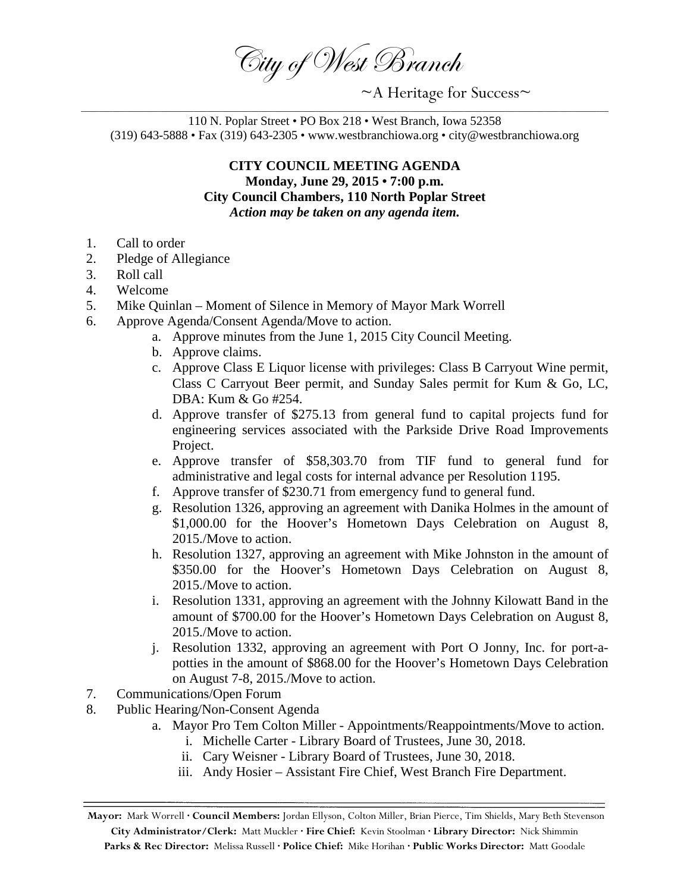City of West Branch

 $~\sim$ A Heritage for Success $\sim$ 

110 N. Poplar Street • PO Box 218 • West Branch, Iowa 52358 (319) 643-5888 • Fax (319) 643-2305 • www.westbranchiowa.org • city@westbranchiowa.org

## **CITY COUNCIL MEETING AGENDA Monday, June 29, 2015 • 7:00 p.m. City Council Chambers, 110 North Poplar Street** *Action may be taken on any agenda item.*

- 1. Call to order
- 2. Pledge of Allegiance
- 3. Roll call
- 4. Welcome
- 5. Mike Quinlan Moment of Silence in Memory of Mayor Mark Worrell
- 6. Approve Agenda/Consent Agenda/Move to action.
	- a. Approve minutes from the June 1, 2015 City Council Meeting.
	- b. Approve claims.
	- c. Approve Class E Liquor license with privileges: Class B Carryout Wine permit, Class C Carryout Beer permit, and Sunday Sales permit for Kum & Go, LC, DBA: Kum & Go #254.
	- d. Approve transfer of \$275.13 from general fund to capital projects fund for engineering services associated with the Parkside Drive Road Improvements Project.
	- e. Approve transfer of \$58,303.70 from TIF fund to general fund for administrative and legal costs for internal advance per Resolution 1195.
	- f. Approve transfer of \$230.71 from emergency fund to general fund.
	- g. Resolution 1326, approving an agreement with Danika Holmes in the amount of \$1,000.00 for the Hoover's Hometown Days Celebration on August 8, 2015./Move to action.
	- h. Resolution 1327, approving an agreement with Mike Johnston in the amount of \$350.00 for the Hoover's Hometown Days Celebration on August 8, 2015./Move to action.
	- i. Resolution 1331, approving an agreement with the Johnny Kilowatt Band in the amount of \$700.00 for the Hoover's Hometown Days Celebration on August 8, 2015./Move to action.
	- j. Resolution 1332, approving an agreement with Port O Jonny, Inc. for port-apotties in the amount of \$868.00 for the Hoover's Hometown Days Celebration on August 7-8, 2015./Move to action.
- 7. Communications/Open Forum
- 8. Public Hearing/Non-Consent Agenda
	- a. Mayor Pro Tem Colton Miller Appointments/Reappointments/Move to action.
		- i. Michelle Carter Library Board of Trustees, June 30, 2018.
		- ii. Cary Weisner Library Board of Trustees, June 30, 2018.
		- iii. Andy Hosier Assistant Fire Chief, West Branch Fire Department.

**Mayor:** Mark Worrell **· Council Members:** Jordan Ellyson, Colton Miller, Brian Pierce, Tim Shields, Mary Beth Stevenson **City Administrator/Clerk:** Matt Muckler **· Fire Chief:** Kevin Stoolman **· Library Director:** Nick Shimmin **Parks & Rec Director:** Melissa Russell **· Police Chief:** Mike Horihan **· Public Works Director:** Matt Goodale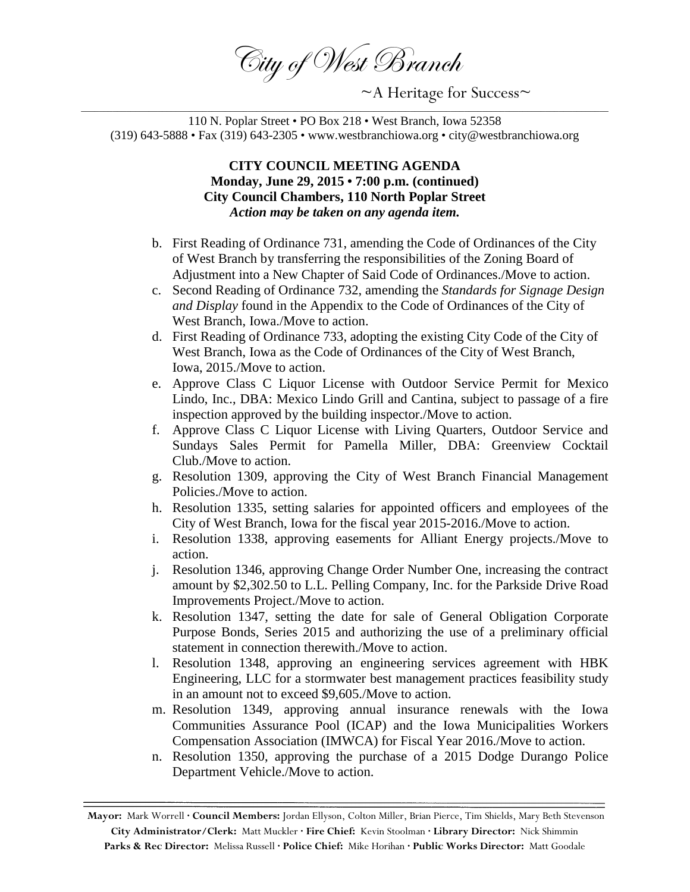City of West Branch

 $~\sim$ A Heritage for Success $\sim$ 

110 N. Poplar Street • PO Box 218 • West Branch, Iowa 52358 (319) 643-5888 • Fax (319) 643-2305 • www.westbranchiowa.org • city@westbranchiowa.org

## **CITY COUNCIL MEETING AGENDA Monday, June 29, 2015 • 7:00 p.m. (continued) City Council Chambers, 110 North Poplar Street** *Action may be taken on any agenda item.*

- b. First Reading of Ordinance 731, amending the Code of Ordinances of the City of West Branch by transferring the responsibilities of the Zoning Board of Adjustment into a New Chapter of Said Code of Ordinances./Move to action.
- c. Second Reading of Ordinance 732, amending the *Standards for Signage Design and Display* found in the Appendix to the Code of Ordinances of the City of West Branch, Iowa./Move to action.
- d. First Reading of Ordinance 733, adopting the existing City Code of the City of West Branch, Iowa as the Code of Ordinances of the City of West Branch, Iowa, 2015./Move to action.
- e. Approve Class C Liquor License with Outdoor Service Permit for Mexico Lindo, Inc., DBA: Mexico Lindo Grill and Cantina, subject to passage of a fire inspection approved by the building inspector./Move to action.
- f. Approve Class C Liquor License with Living Quarters, Outdoor Service and Sundays Sales Permit for Pamella Miller, DBA: Greenview Cocktail Club./Move to action.
- g. Resolution 1309, approving the City of West Branch Financial Management Policies./Move to action.
- h. Resolution 1335, setting salaries for appointed officers and employees of the City of West Branch, Iowa for the fiscal year 2015-2016./Move to action.
- i. Resolution 1338, approving easements for Alliant Energy projects./Move to action.
- j. Resolution 1346, approving Change Order Number One, increasing the contract amount by \$2,302.50 to L.L. Pelling Company, Inc. for the Parkside Drive Road Improvements Project./Move to action.
- k. Resolution 1347, setting the date for sale of General Obligation Corporate Purpose Bonds, Series 2015 and authorizing the use of a preliminary official statement in connection therewith./Move to action.
- l. Resolution 1348, approving an engineering services agreement with HBK Engineering, LLC for a stormwater best management practices feasibility study in an amount not to exceed \$9,605./Move to action.
- m. Resolution 1349, approving annual insurance renewals with the Iowa Communities Assurance Pool (ICAP) and the Iowa Municipalities Workers Compensation Association (IMWCA) for Fiscal Year 2016./Move to action.
- n. Resolution 1350, approving the purchase of a 2015 Dodge Durango Police Department Vehicle./Move to action.

**Mayor:** Mark Worrell **· Council Members:** Jordan Ellyson, Colton Miller, Brian Pierce, Tim Shields, Mary Beth Stevenson **City Administrator/Clerk:** Matt Muckler **· Fire Chief:** Kevin Stoolman **· Library Director:** Nick Shimmin **Parks & Rec Director:** Melissa Russell **· Police Chief:** Mike Horihan **· Public Works Director:** Matt Goodale